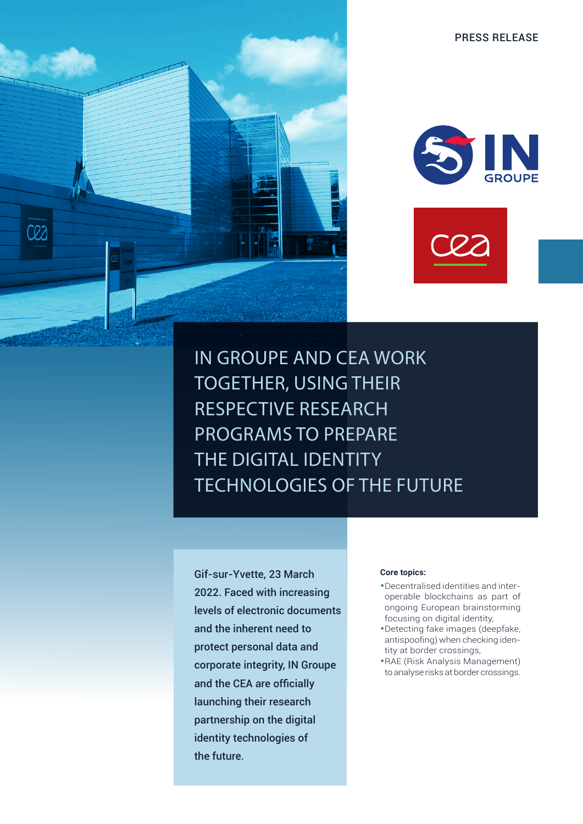



IN GROUPE AND CEA WORK TOGETHER, USING THEIR RESPECTIVE RESEARCH PROGRAMS TO PREPARE THE DIGITAL IDENTITY TECHNOLOGIES OF THE FUTURE

Gif-sur-Yvette, 23 March 2022. Faced with increasing levels of electronic documents and the inherent need to protect personal data and corporate integrity, IN Groupe and the CEA are officially launching their research partnership on the digital identity technologies of the future.

C22

### **Core topics:**

- •Decentralised identities and interoperable blockchains as part of ongoing European brainstorming focusing on digital identity,
- •Detecting fake images (deepfake, antispoofing) when checking identity at border crossings,
- •RAE (Risk Analysis Management) to analyse risks at border crossings.